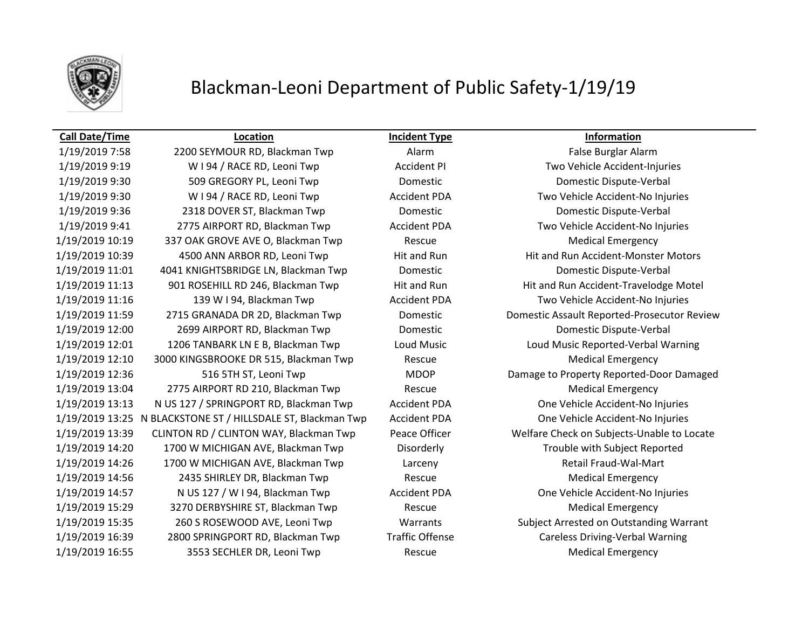

## Blackman-Leoni Department of Public Safety-1/19/19

### **Call Date/Time Location Incident Type Information**

1/19/2019 7:58 2200 SEYMOUR RD, Blackman Twp Alarm Alarm False Burglar Alarm 1/19/2019 9:19 W I 94 / RACE RD, Leoni Twp Accident PI Two Vehicle Accident-Injuries 1/19/2019 9:30 509 GREGORY PL, Leoni Twp Domestic Domestic Dispute-Verbal 1/19/2019 9:30 W I 94 / RACE RD, Leoni Twp Accident PDA Two Vehicle Accident-No Injuries 1/19/2019 9:36 2318 DOVER ST, Blackman Twp Domestic Domestic Dispute-Verbal 1/19/2019 9:41 2775 AIRPORT RD, Blackman Twp Accident PDA Two Vehicle Accident-No Injuries 1/19/2019 10:19 337 OAK GROVE AVE O, Blackman Twp Rescue Rescue Medical Emergency 1/19/2019 10:39 4500 ANN ARBOR RD, Leoni Twp Hit and Run Hit and Run Accident-Monster Motors 1/19/2019 11:01 4041 KNIGHTSBRIDGE LN, Blackman Twp Domestic Domestic Dispute-Verbal 1/19/2019 11:13 901 ROSEHILL RD 246, Blackman Twp Hit and Run Hit and Run Accident-Travelodge Motel 1/19/2019 11:16 139 W I 94, Blackman Twp Accident PDA Two Vehicle Accident-No Injuries 1/19/2019 11:59 2715 GRANADA DR 2D, Blackman Twp Domestic Domestic Assault Reported-Prosecutor Review 1/19/2019 12:00 2699 AIRPORT RD, Blackman Twp Domestic Domestic Dispute-Verbal 1/19/2019 12:01 1206 TANBARK LN E B, Blackman Twp Loud Music Loud Music Reported-Verbal Warning 1/19/2019 12:10 3000 KINGSBROOKE DR 515, Blackman Twp Rescue Medical Emergency 1/19/2019 12:36 516 5TH ST, Leoni Twp MDOP Damage to Property Reported-Door Damaged 1/19/2019 13:04 2775 AIRPORT RD 210, Blackman Twp Rescue Medical Emergency 1/19/2019 13:13 N US 127 / SPRINGPORT RD, Blackman Twp Accident PDA One Vehicle Accident-No Injuries 1/19/2019 13:25 N BLACKSTONE ST / HILLSDALE ST, Blackman Twp Accident PDA One Vehicle Accident-No Injuries 1/19/2019 13:39 CLINTON RD / CLINTON WAY, Blackman Twp Peace Officer Welfare Check on Subjects-Unable to Locate 1/19/2019 14:20 1700 W MICHIGAN AVE, Blackman Twp Disorderly Trouble with Subject Reported 1/19/2019 14:26 1700 W MICHIGAN AVE, Blackman Twp Larceny Larcent Channel Retail Fraud-Wal-Mart 1/19/2019 14:56 2435 SHIRLEY DR, Blackman Twp Rescue Medical Emergency 1/19/2019 14:57 N US 127 / W I 94, Blackman Twp Accident PDA One Vehicle Accident-No Injuries 1/19/2019 15:29 3270 DERBYSHIRE ST, Blackman Twp Rescue Medical Emergency 1/19/2019 15:35 260 S ROSEWOOD AVE, Leoni Twp Warrants Subject Arrested on Outstanding Warrant 1/19/2019 16:39 2800 SPRINGPORT RD, Blackman Twp Traffic Offense Careless Driving-Verbal Warning 1/19/2019 16:55 3553 SECHLER DR, Leoni Twp Rescue Medical Emergency